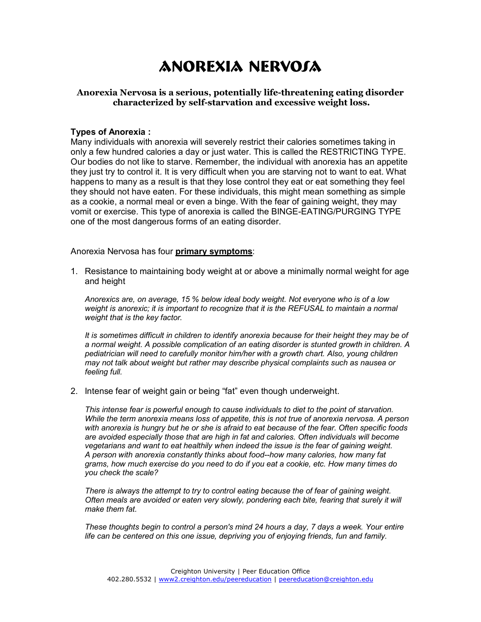# ANOREXIA NERVOSA

### **Anorexia Nervosa is a serious, potentially life-threatening eating disorder characterized by self-starvation and excessive weight loss.**

#### **Types of Anorexia :**

Many individuals with anorexia will severely restrict their calories sometimes taking in only a few hundred calories a day or just water. This is called the RESTRICTING TYPE. Our bodies do not like to starve. Remember, the individual with anorexia has an appetite they just try to control it. It is very difficult when you are starving not to want to eat. What happens to many as a result is that they lose control they eat or eat something they feel they should not have eaten. For these individuals, this might mean something as simple as a cookie, a normal meal or even a binge. With the fear of gaining weight, they may vomit or exercise. This type of anorexia is called the BINGE-EATING/PURGING TYPE one of the most dangerous forms of an eating disorder.

Anorexia Nervosa has four **primary symptoms**:

1. Resistance to maintaining body weight at or above a minimally normal weight for age and height

*Anorexics are, on average, 15 % below ideal body weight. Not everyone who is of a low weight is anorexic; it is important to recognize that it is the REFUSAL to maintain a normal weight that is the key factor.* 

*It is sometimes difficult in children to identify anorexia because for their height they may be of a normal weight. A possible complication of an eating disorder is stunted growth in children. A pediatrician will need to carefully monitor him/her with a growth chart. Also, young children may not talk about weight but rather may describe physical complaints such as nausea or feeling full.* 

2. Intense fear of weight gain or being "fat" even though underweight.

*This intense fear is powerful enough to cause individuals to diet to the point of starvation. While the term anorexia means loss of appetite, this is not true of anorexia nervosa. A person with anorexia is hungry but he or she is afraid to eat because of the fear. Often specific foods are avoided especially those that are high in fat and calories. Often individuals will become vegetarians and want to eat healthily when indeed the issue is the fear of gaining weight. A person with anorexia constantly thinks about food--how many calories, how many fat grams, how much exercise do you need to do if you eat a cookie, etc. How many times do you check the scale?* 

*There is always the attempt to try to control eating because the of fear of gaining weight. Often meals are avoided or eaten very slowly, pondering each bite, fearing that surely it will make them fat.* 

*These thoughts begin to control a person's mind 24 hours a day, 7 days a week. Your entire life can be centered on this one issue, depriving you of enjoying friends, fun and family.*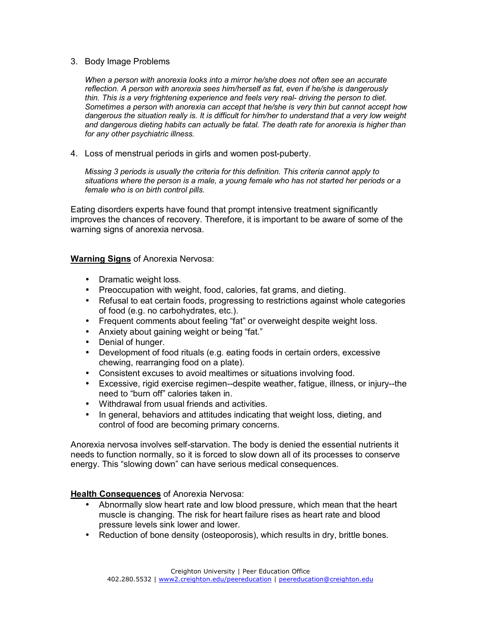### 3. Body Image Problems

*When a person with anorexia looks into a mirror he/she does not often see an accurate reflection. A person with anorexia sees him/herself as fat, even if he/she is dangerously thin. This is a very frightening experience and feels very real- driving the person to diet. Sometimes a person with anorexia can accept that he/she is very thin but cannot accept how dangerous the situation really is. It is difficult for him/her to understand that a very low weight and dangerous dieting habits can actually be fatal. The death rate for anorexia is higher than for any other psychiatric illness.* 

4. Loss of menstrual periods in girls and women post-puberty.

*Missing 3 periods is usually the criteria for this definition. This criteria cannot apply to situations where the person is a male, a young female who has not started her periods or a female who is on birth control pills.* 

Eating disorders experts have found that prompt intensive treatment significantly improves the chances of recovery. Therefore, it is important to be aware of some of the warning signs of anorexia nervosa.

# **Warning Signs** of Anorexia Nervosa:

- Dramatic weight loss.
- Preoccupation with weight, food, calories, fat grams, and dieting.
- Refusal to eat certain foods, progressing to restrictions against whole categories of food (e.g. no carbohydrates, etc.).
- Frequent comments about feeling "fat" or overweight despite weight loss.
- Anxiety about gaining weight or being "fat."
- Denial of hunger.
- Development of food rituals (e.g. eating foods in certain orders, excessive chewing, rearranging food on a plate).
- Consistent excuses to avoid mealtimes or situations involving food.
- Excessive, rigid exercise regimen--despite weather, fatigue, illness, or injury--the need to "burn off" calories taken in.
- Withdrawal from usual friends and activities.
- In general, behaviors and attitudes indicating that weight loss, dieting, and control of food are becoming primary concerns.

Anorexia nervosa involves self-starvation. The body is denied the essential nutrients it needs to function normally, so it is forced to slow down all of its processes to conserve energy. This "slowing down" can have serious medical consequences.

# **Health Consequences** of Anorexia Nervosa:

- Abnormally slow heart rate and low blood pressure, which mean that the heart muscle is changing. The risk for heart failure rises as heart rate and blood pressure levels sink lower and lower.
- Reduction of bone density (osteoporosis), which results in dry, brittle bones.